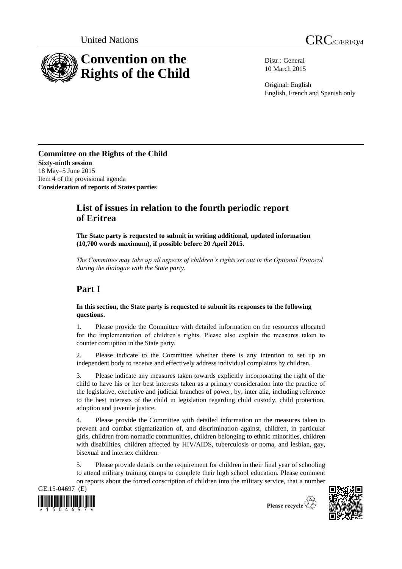



Distr.: General 10 March 2015

Original: English English, French and Spanish only

**Committee on the Rights of the Child Sixty-ninth session** 18 May–5 June 2015 Item 4 of the provisional agenda **Consideration of reports of States parties**

## **List of issues in relation to the fourth periodic report of Eritrea**

**The State party is requested to submit in writing additional, updated information (10,700 words maximum), if possible before 20 April 2015.**

*The Committee may take up all aspects of children's rights set out in the Optional Protocol during the dialogue with the State party.*

# **Part I**

#### **In this section, the State party is requested to submit its responses to the following questions.**

1. Please provide the Committee with detailed information on the resources allocated for the implementation of children's rights. Please also explain the measures taken to counter corruption in the State party.

2. Please indicate to the Committee whether there is any intention to set up an independent body to receive and effectively address individual complaints by children.

3. Please indicate any measures taken towards explicitly incorporating the right of the child to have his or her best interests taken as a primary consideration into the practice of the legislative, executive and judicial branches of power, by, inter alia, including reference to the best interests of the child in legislation regarding child custody, child protection, adoption and juvenile justice.

4. Please provide the Committee with detailed information on the measures taken to prevent and combat stigmatization of, and discrimination against, children, in particular girls, children from nomadic communities, children belonging to ethnic minorities, children with disabilities, children affected by HIV/AIDS, tuberculosis or noma, and lesbian, gay, bisexual and intersex children.

5. Please provide details on the requirement for children in their final year of schooling to attend military training camps to complete their high school education. Please comment on reports about the forced conscription of children into the military service, that a number



Please recycle  $\overleftrightarrow{C}$ 

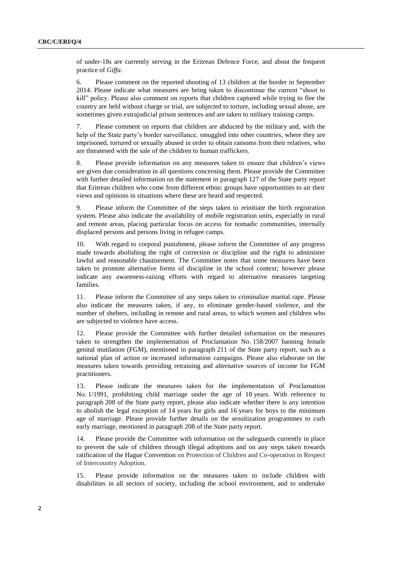of under-18s are currently serving in the Eritrean Defence Force, and about the frequent practice of *Giffa*.

6. Please comment on the reported shooting of 13 children at the border in September 2014. Please indicate what measures are being taken to discontinue the current "shoot to kill" policy. Please also comment on reports that children captured while trying to flee the country are held without charge or trial, are subjected to torture, including sexual abuse, are sometimes given extrajudicial prison sentences and are taken to military training camps.

7. Please comment on reports that children are abducted by the military and, with the help of the State party's border surveillance, smuggled into other countries, where they are imprisoned, tortured or sexually abused in order to obtain ransoms from their relatives, who are threatened with the sale of the children to human traffickers.

8. Please provide information on any measures taken to ensure that children's views are given due consideration in all questions concerning them. Please provide the Committee with further detailed information on the statement in paragraph 127 of the State party report that Eritrean children who come from different ethnic groups have opportunities to air their views and opinions in situations where these are heard and respected.

9. Please inform the Committee of the steps taken to reinitiate the birth registration system. Please also indicate the availability of mobile registration units, especially in rural and remote areas, placing particular focus on access for nomadic communities, internally displaced persons and persons living in refugee camps.

10. With regard to corporal punishment, please inform the Committee of any progress made towards abolishing the right of correction or discipline and the right to administer lawful and reasonable chastisement. The Committee notes that some measures have been taken to promote alternative forms of discipline in the school context; however please indicate any awareness-raising efforts with regard to alternative measures targeting families.

11. Please inform the Committee of any steps taken to criminalize marital rape. Please also indicate the measures taken, if any, to eliminate gender-based violence, and the number of shelters, including in remote and rural areas, to which women and children who are subjected to violence have access.

12. Please provide the Committee with further detailed information on the measures taken to strengthen the implementation of Proclamation No. 158/2007 banning female genital mutilation (FGM), mentioned in paragraph 211 of the State party report, such as a national plan of action or increased information campaigns. Please also elaborate on the measures taken towards providing retraining and alternative sources of income for FGM practitioners.

13. Please indicate the measures taken for the implementation of Proclamation No. 1/1991, prohibiting child marriage under the age of 18 years. With reference to paragraph 208 of the State party report, please also indicate whether there is any intention to abolish the legal exception of 14 years for girls and 16 years for boys to the minimum age of marriage. Please provide further details on the sensitization programmes to curb early marriage, mentioned in paragraph 208 of the State party report.

14. Please provide the Committee with information on the safeguards currently in place to prevent the sale of children through illegal adoptions and on any steps taken towards ratification of the Hague Convention on Protection of Children and Co-operation in Respect of Intercountry Adoption.

15. Please provide information on the measures taken to include children with disabilities in all sectors of society, including the school environment, and to undertake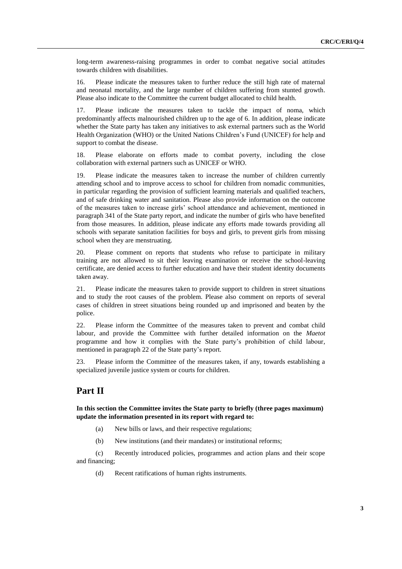long-term awareness-raising programmes in order to combat negative social attitudes towards children with disabilities.

16. Please indicate the measures taken to further reduce the still high rate of maternal and neonatal mortality, and the large number of children suffering from stunted growth. Please also indicate to the Committee the current budget allocated to child health.

17. Please indicate the measures taken to tackle the impact of noma, which predominantly affects malnourished children up to the age of 6. In addition, please indicate whether the State party has taken any initiatives to ask external partners such as the World Health Organization (WHO) or the United Nations Children's Fund (UNICEF) for help and support to combat the disease.

18. Please elaborate on efforts made to combat poverty, including the close collaboration with external partners such as UNICEF or WHO.

19. Please indicate the measures taken to increase the number of children currently attending school and to improve access to school for children from nomadic communities, in particular regarding the provision of sufficient learning materials and qualified teachers, and of safe drinking water and sanitation. Please also provide information on the outcome of the measures taken to increase girls' school attendance and achievement, mentioned in paragraph 341 of the State party report, and indicate the number of girls who have benefited from those measures. In addition, please indicate any efforts made towards providing all schools with separate sanitation facilities for boys and girls, to prevent girls from missing school when they are menstruating.

20. Please comment on reports that students who refuse to participate in military training are not allowed to sit their leaving examination or receive the school-leaving certificate, are denied access to further education and have their student identity documents taken away.

21. Please indicate the measures taken to provide support to children in street situations and to study the root causes of the problem. Please also comment on reports of several cases of children in street situations being rounded up and imprisoned and beaten by the police.

22. Please inform the Committee of the measures taken to prevent and combat child labour, and provide the Committee with further detailed information on the *Maetot*  programme and how it complies with the State party's prohibition of child labour, mentioned in paragraph 22 of the State party's report.

23. Please inform the Committee of the measures taken, if any, towards establishing a specialized juvenile justice system or courts for children.

### **Part II**

**In this section the Committee invites the State party to briefly (three pages maximum) update the information presented in its report with regard to:**

- (a) New bills or laws, and their respective regulations;
- (b) New institutions (and their mandates) or institutional reforms;

(c) Recently introduced policies, programmes and action plans and their scope and financing;

(d) Recent ratifications of human rights instruments.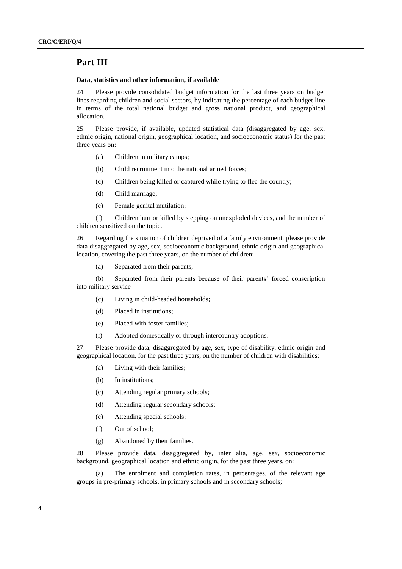### **Part III**

#### **Data, statistics and other information, if available**

24. Please provide consolidated budget information for the last three years on budget lines regarding children and social sectors, by indicating the percentage of each budget line in terms of the total national budget and gross national product, and geographical allocation.

25. Please provide, if available, updated statistical data (disaggregated by age, sex, ethnic origin, national origin, geographical location, and socioeconomic status) for the past three years on:

- (a) Children in military camps;
- (b) Child recruitment into the national armed forces;
- (c) Children being killed or captured while trying to flee the country;
- (d) Child marriage;
- (e) Female genital mutilation;

(f) Children hurt or killed by stepping on unexploded devices, and the number of children sensitized on the topic.

26. Regarding the situation of children deprived of a family environment, please provide data disaggregated by age, sex, socioeconomic background, ethnic origin and geographical location, covering the past three years, on the number of children:

(a) Separated from their parents;

(b) Separated from their parents because of their parents' forced conscription into military service

- (c) Living in child-headed households;
- (d) Placed in institutions;
- (e) Placed with foster families;
- (f) Adopted domestically or through intercountry adoptions.

27. Please provide data, disaggregated by age, sex, type of disability, ethnic origin and geographical location, for the past three years, on the number of children with disabilities:

- (a) Living with their families;
- (b) In institutions;
- (c) Attending regular primary schools;
- (d) Attending regular secondary schools;
- (e) Attending special schools;
- (f) Out of school;
- (g) Abandoned by their families.

28. Please provide data, disaggregated by, inter alia, age, sex, socioeconomic background, geographical location and ethnic origin, for the past three years, on:

(a) The enrolment and completion rates, in percentages, of the relevant age groups in pre-primary schools, in primary schools and in secondary schools;